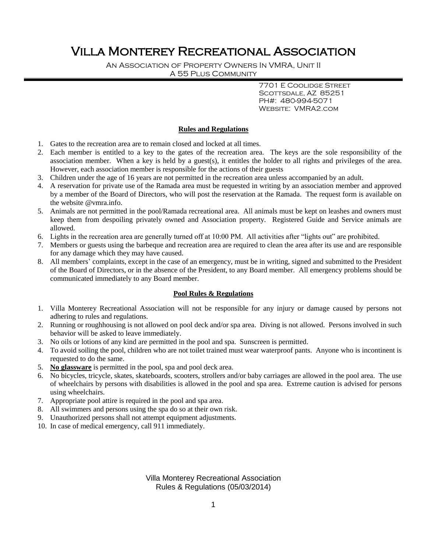# Villa Monterey Recreational Association

An Association of Property Owners In VMRA, Unit II A 55 Plus Community

> 7701 E Coolidge Street SCOTTSDALE, AZ 85251 PH#: 480-994-5071 Website: VMRA2.com

### **Rules and Regulations**

- 1. Gates to the recreation area are to remain closed and locked at all times.
- 2. Each member is entitled to a key to the gates of the recreation area. The keys are the sole responsibility of the association member. When a key is held by a guest(s), it entitles the holder to all rights and privileges of the area. However, each association member is responsible for the actions of their guests
- 3. Children under the age of 16 years are not permitted in the recreation area unless accompanied by an adult.
- 4. A reservation for private use of the Ramada area must be requested in writing by an association member and approved by a member of the Board of Directors, who will post the reservation at the Ramada. The request form is available on the website @vmra.info.
- 5. Animals are not permitted in the pool/Ramada recreational area. All animals must be kept on leashes and owners must keep them from despoiling privately owned and Association property. Registered Guide and Service animals are allowed.
- 6. Lights in the recreation area are generally turned off at 10:00 PM. All activities after "lights out" are prohibited.
- 7. Members or guests using the barbeque and recreation area are required to clean the area after its use and are responsible for any damage which they may have caused.
- 8. All members' complaints, except in the case of an emergency, must be in writing, signed and submitted to the President of the Board of Directors, or in the absence of the President, to any Board member. All emergency problems should be communicated immediately to any Board member.

### **Pool Rules & Regulations**

- 1. Villa Monterey Recreational Association will not be responsible for any injury or damage caused by persons not adhering to rules and regulations.
- 2. Running or roughhousing is not allowed on pool deck and/or spa area. Diving is not allowed. Persons involved in such behavior will be asked to leave immediately.
- 3. No oils or lotions of any kind are permitted in the pool and spa. Sunscreen is permitted.
- 4. To avoid soiling the pool, children who are not toilet trained must wear waterproof pants. Anyone who is incontinent is requested to do the same.
- 5. **No glassware** is permitted in the pool, spa and pool deck area.
- 6. No bicycles, tricycle, skates, skateboards, scooters, strollers and/or baby carriages are allowed in the pool area. The use of wheelchairs by persons with disabilities is allowed in the pool and spa area. Extreme caution is advised for persons using wheelchairs.
- 7. Appropriate pool attire is required in the pool and spa area.
- 8. All swimmers and persons using the spa do so at their own risk.
- 9. Unauthorized persons shall not attempt equipment adjustments.
- 10. In case of medical emergency, call 911 immediately.

Villa Monterey Recreational Association Rules & Regulations (05/03/2014)